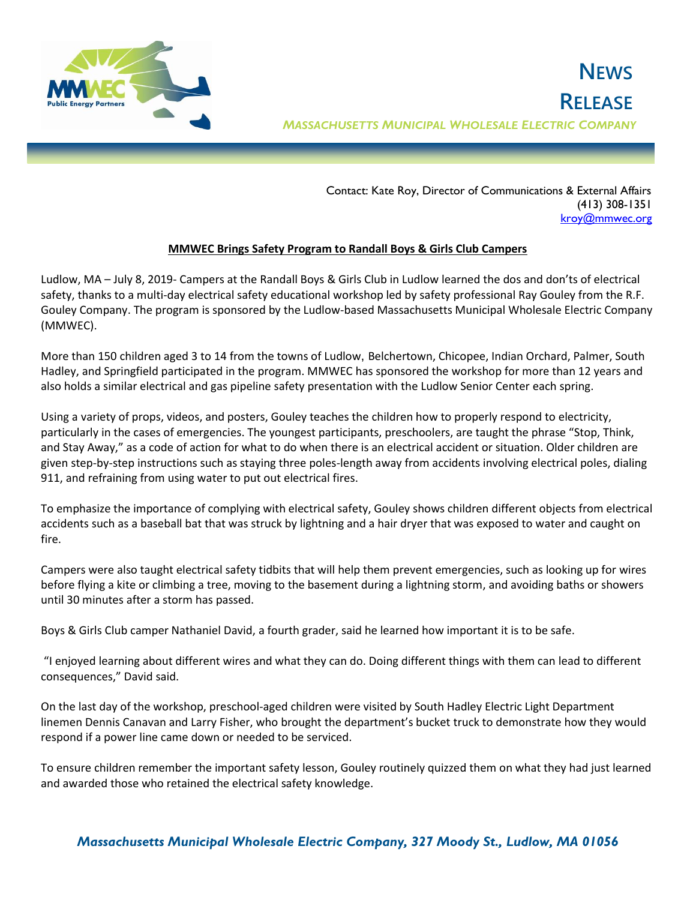

 Contact: Kate Roy, Director of Communications & External Affairs (413) 308-1351 [kroy@mmwec.org](mailto:kroy@mmwec.org)

## **MMWEC Brings Safety Program to Randall Boys & Girls Club Campers**

Ludlow, MA – July 8, 2019- Campers at the Randall Boys & Girls Club in Ludlow learned the dos and don'ts of electrical safety, thanks to a multi-day electrical safety educational workshop led by safety professional Ray Gouley from the R.F. Gouley Company. The program is sponsored by the Ludlow-based Massachusetts Municipal Wholesale Electric Company (MMWEC).

More than 150 children aged 3 to 14 from the towns of Ludlow, Belchertown, Chicopee, Indian Orchard, Palmer, South Hadley, and Springfield participated in the program. MMWEC has sponsored the workshop for more than 12 years and also holds a similar electrical and gas pipeline safety presentation with the Ludlow Senior Center each spring.

Using a variety of props, videos, and posters, Gouley teaches the children how to properly respond to electricity, particularly in the cases of emergencies. The youngest participants, preschoolers, are taught the phrase "Stop, Think, and Stay Away," as a code of action for what to do when there is an electrical accident or situation. Older children are given step-by-step instructions such as staying three poles-length away from accidents involving electrical poles, dialing 911, and refraining from using water to put out electrical fires.

To emphasize the importance of complying with electrical safety, Gouley shows children different objects from electrical accidents such as a baseball bat that was struck by lightning and a hair dryer that was exposed to water and caught on fire.

Campers were also taught electrical safety tidbits that will help them prevent emergencies, such as looking up for wires before flying a kite or climbing a tree, moving to the basement during a lightning storm, and avoiding baths or showers until 30 minutes after a storm has passed.

Boys & Girls Club camper Nathaniel David, a fourth grader, said he learned how important it is to be safe.

"I enjoyed learning about different wires and what they can do. Doing different things with them can lead to different consequences," David said.

On the last day of the workshop, preschool-aged children were visited by South Hadley Electric Light Department linemen Dennis Canavan and Larry Fisher, who brought the department's bucket truck to demonstrate how they would respond if a power line came down or needed to be serviced.

To ensure children remember the important safety lesson, Gouley routinely quizzed them on what they had just learned and awarded those who retained the electrical safety knowledge.